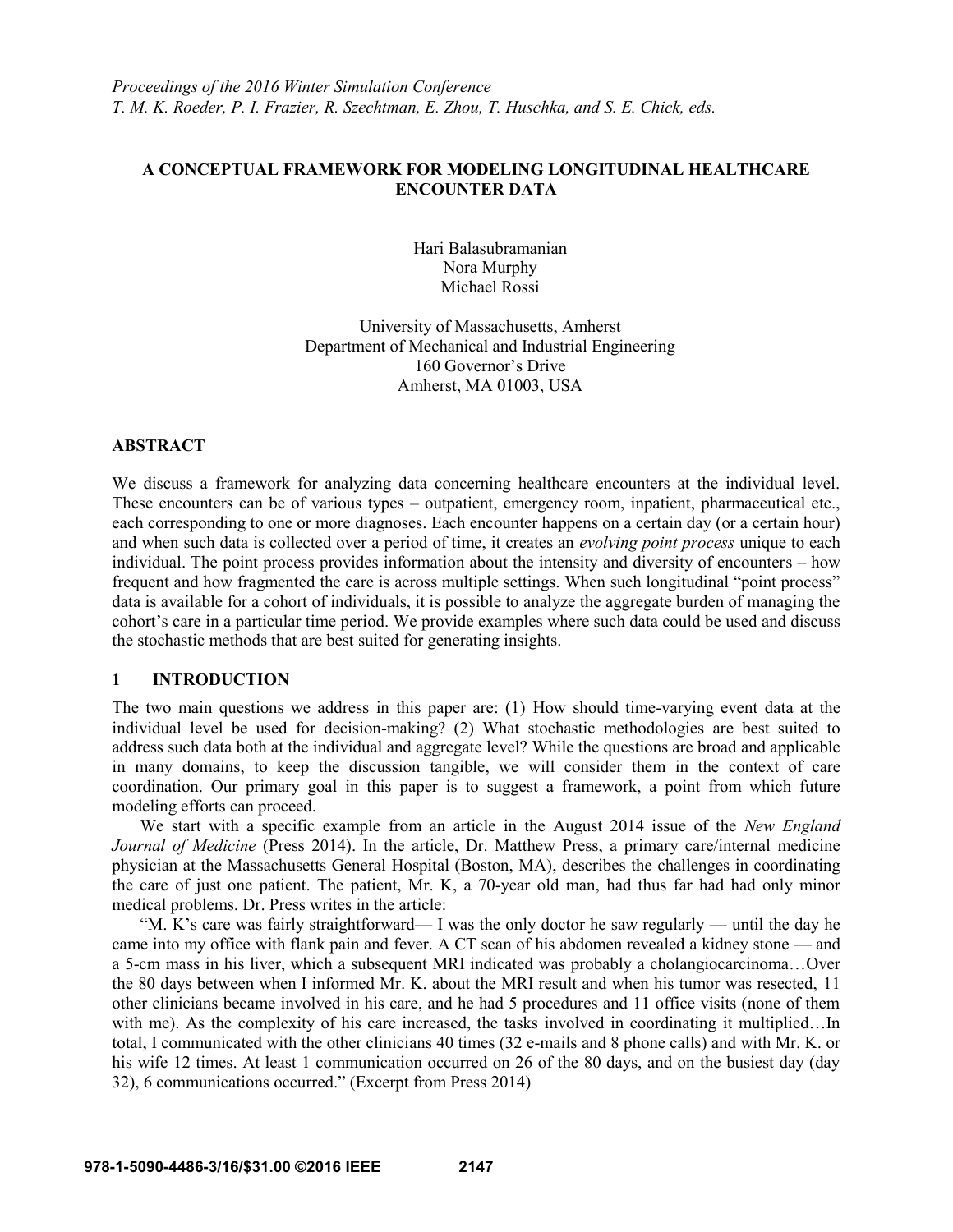# **A CONCEPTUAL FRAMEWORK FOR MODELING LONGITUDINAL HEALTHCARE ENCOUNTER DATA**

Hari Balasubramanian Nora Murphy Michael Rossi

University of Massachusetts, Amherst Department of Mechanical and Industrial Engineering 160 Governor's Drive Amherst, MA 01003, USA

## **ABSTRACT**

We discuss a framework for analyzing data concerning healthcare encounters at the individual level. These encounters can be of various types – outpatient, emergency room, inpatient, pharmaceutical etc., each corresponding to one or more diagnoses. Each encounter happens on a certain day (or a certain hour) and when such data is collected over a period of time, it creates an *evolving point process* unique to each individual. The point process provides information about the intensity and diversity of encounters – how frequent and how fragmented the care is across multiple settings. When such longitudinal "point process" data is available for a cohort of individuals, it is possible to analyze the aggregate burden of managing the cohort's care in a particular time period. We provide examples where such data could be used and discuss the stochastic methods that are best suited for generating insights.

# **1 INTRODUCTION**

The two main questions we address in this paper are: (1) How should time-varying event data at the individual level be used for decision-making? (2) What stochastic methodologies are best suited to address such data both at the individual and aggregate level? While the questions are broad and applicable in many domains, to keep the discussion tangible, we will consider them in the context of care coordination. Our primary goal in this paper is to suggest a framework, a point from which future modeling efforts can proceed.

We start with a specific example from an article in the August 2014 issue of the *New England Journal of Medicine* (Press 2014). In the article, Dr. Matthew Press, a primary care/internal medicine physician at the Massachusetts General Hospital (Boston, MA), describes the challenges in coordinating the care of just one patient. The patient, Mr. K, a 70-year old man, had thus far had had only minor medical problems. Dr. Press writes in the article:

"M. K's care was fairly straightforward— I was the only doctor he saw regularly — until the day he came into my office with flank pain and fever. A CT scan of his abdomen revealed a kidney stone — and a 5-cm mass in his liver, which a subsequent MRI indicated was probably a cholangiocarcinoma…Over the 80 days between when I informed Mr. K. about the MRI result and when his tumor was resected, 11 other clinicians became involved in his care, and he had 5 procedures and 11 office visits (none of them with me). As the complexity of his care increased, the tasks involved in coordinating it multiplied...In total, I communicated with the other clinicians 40 times (32 e-mails and 8 phone calls) and with Mr. K. or his wife 12 times. At least 1 communication occurred on 26 of the 80 days, and on the busiest day (day 32), 6 communications occurred." (Excerpt from Press 2014)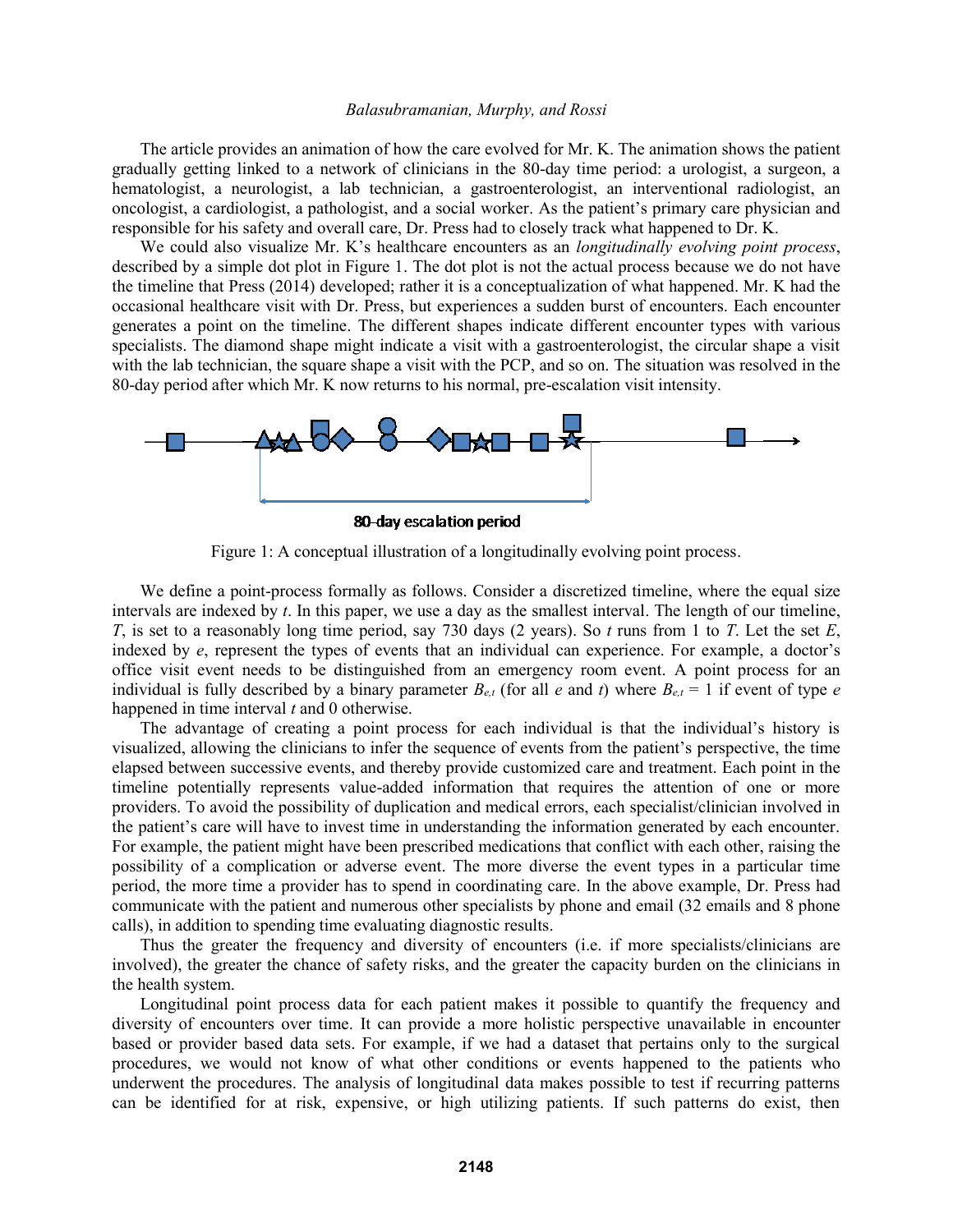The article provides an animation of how the care evolved for Mr. K. The animation shows the patient gradually getting linked to a network of clinicians in the 80-day time period: a urologist, a surgeon, a hematologist, a neurologist, a lab technician, a gastroenterologist, an interventional radiologist, an oncologist, a cardiologist, a pathologist, and a social worker. As the patient's primary care physician and responsible for his safety and overall care, Dr. Press had to closely track what happened to Dr. K.

We could also visualize Mr. K's healthcare encounters as an *longitudinally evolving point process*, described by a simple dot plot in Figure 1. The dot plot is not the actual process because we do not have the timeline that Press (2014) developed; rather it is a conceptualization of what happened. Mr. K had the occasional healthcare visit with Dr. Press, but experiences a sudden burst of encounters. Each encounter generates a point on the timeline. The different shapes indicate different encounter types with various specialists. The diamond shape might indicate a visit with a gastroenterologist, the circular shape a visit with the lab technician, the square shape a visit with the PCP, and so on. The situation was resolved in the 80-day period after which Mr. K now returns to his normal, pre-escalation visit intensity.



80-day escalation period

Figure 1: A conceptual illustration of a longitudinally evolving point process.

We define a point-process formally as follows. Consider a discretized timeline, where the equal size intervals are indexed by *t*. In this paper, we use a day as the smallest interval. The length of our timeline, *T*, is set to a reasonably long time period, say 730 days (2 years). So *t* runs from 1 to *T*. Let the set *E*, indexed by *e*, represent the types of events that an individual can experience. For example, a doctor's office visit event needs to be distinguished from an emergency room event. A point process for an individual is fully described by a binary parameter  $B_{e,t}$  (for all *e* and *t*) where  $B_{e,t} = 1$  if event of type *e* happened in time interval *t* and 0 otherwise.

The advantage of creating a point process for each individual is that the individual's history is visualized, allowing the clinicians to infer the sequence of events from the patient's perspective, the time elapsed between successive events, and thereby provide customized care and treatment. Each point in the timeline potentially represents value-added information that requires the attention of one or more providers. To avoid the possibility of duplication and medical errors, each specialist/clinician involved in the patient's care will have to invest time in understanding the information generated by each encounter. For example, the patient might have been prescribed medications that conflict with each other, raising the possibility of a complication or adverse event. The more diverse the event types in a particular time period, the more time a provider has to spend in coordinating care. In the above example, Dr. Press had communicate with the patient and numerous other specialists by phone and email (32 emails and 8 phone calls), in addition to spending time evaluating diagnostic results.

Thus the greater the frequency and diversity of encounters (i.e. if more specialists/clinicians are involved), the greater the chance of safety risks, and the greater the capacity burden on the clinicians in the health system.

Longitudinal point process data for each patient makes it possible to quantify the frequency and diversity of encounters over time. It can provide a more holistic perspective unavailable in encounter based or provider based data sets. For example, if we had a dataset that pertains only to the surgical procedures, we would not know of what other conditions or events happened to the patients who underwent the procedures. The analysis of longitudinal data makes possible to test if recurring patterns can be identified for at risk, expensive, or high utilizing patients. If such patterns do exist, then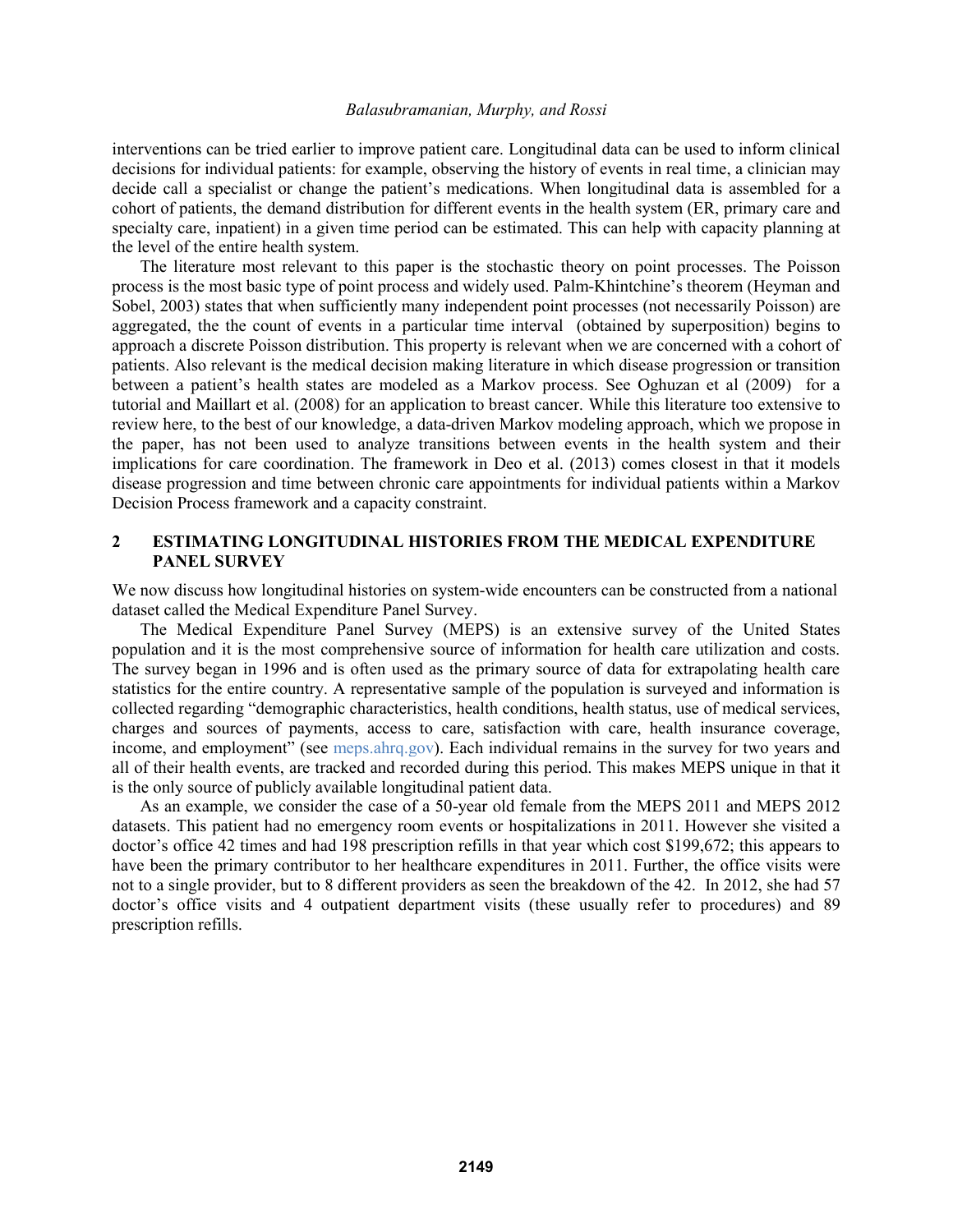interventions can be tried earlier to improve patient care. Longitudinal data can be used to inform clinical decisions for individual patients: for example, observing the history of events in real time, a clinician may decide call a specialist or change the patient's medications. When longitudinal data is assembled for a cohort of patients, the demand distribution for different events in the health system (ER, primary care and specialty care, inpatient) in a given time period can be estimated. This can help with capacity planning at the level of the entire health system.

The literature most relevant to this paper is the stochastic theory on point processes. The Poisson process is the most basic type of point process and widely used. Palm-Khintchine's theorem (Heyman and Sobel, 2003) states that when sufficiently many independent point processes (not necessarily Poisson) are aggregated, the the count of events in a particular time interval (obtained by superposition) begins to approach a discrete Poisson distribution. This property is relevant when we are concerned with a cohort of patients. Also relevant is the medical decision making literature in which disease progression or transition between a patient's health states are modeled as a Markov process. See Oghuzan et al (2009) for a tutorial and Maillart et al. (2008) for an application to breast cancer. While this literature too extensive to review here, to the best of our knowledge, a data-driven Markov modeling approach, which we propose in the paper, has not been used to analyze transitions between events in the health system and their implications for care coordination. The framework in Deo et al. (2013) comes closest in that it models disease progression and time between chronic care appointments for individual patients within a Markov Decision Process framework and a capacity constraint.

# **2 ESTIMATING LONGITUDINAL HISTORIES FROM THE MEDICAL EXPENDITURE PANEL SURVEY**

We now discuss how longitudinal histories on system-wide encounters can be constructed from a national dataset called the Medical Expenditure Panel Survey.

The Medical Expenditure Panel Survey (MEPS) is an extensive survey of the United States population and it is the most comprehensive source of information for health care utilization and costs. The survey began in 1996 and is often used as the primary source of data for extrapolating health care statistics for the entire country. A representative sample of the population is surveyed and information is collected regarding "demographic characteristics, health conditions, health status, use of medical services, charges and sources of payments, access to care, satisfaction with care, health insurance coverage, income, and employment" (see meps.ahrq.gov). Each individual remains in the survey for two years and all of their health events, are tracked and recorded during this period. This makes MEPS unique in that it is the only source of publicly available longitudinal patient data.

As an example, we consider the case of a 50-year old female from the MEPS 2011 and MEPS 2012 datasets. This patient had no emergency room events or hospitalizations in 2011. However she visited a doctor's office 42 times and had 198 prescription refills in that year which cost \$199,672; this appears to have been the primary contributor to her healthcare expenditures in 2011. Further, the office visits were not to a single provider, but to 8 different providers as seen the breakdown of the 42. In 2012, she had 57 doctor's office visits and 4 outpatient department visits (these usually refer to procedures) and 89 prescription refills.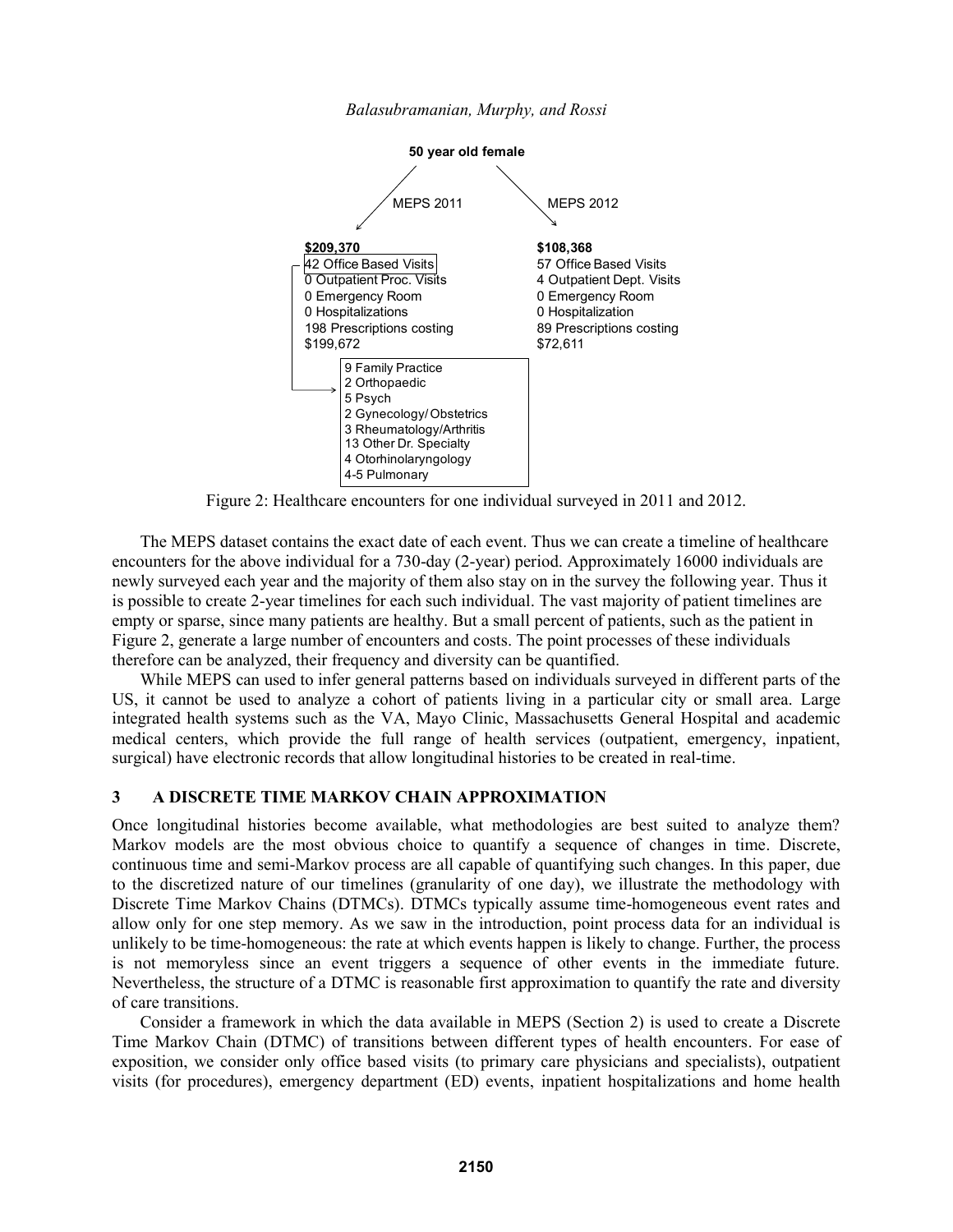

*Balasubramanian, Murphy, and Rossi*

Figure 2: Healthcare encounters for one individual surveyed in 2011 and 2012.

The MEPS dataset contains the exact date of each event. Thus we can create a timeline of healthcare encounters for the above individual for a 730-day (2-year) period. Approximately 16000 individuals are newly surveyed each year and the majority of them also stay on in the survey the following year. Thus it is possible to create 2-year timelines for each such individual. The vast majority of patient timelines are empty or sparse, since many patients are healthy. But a small percent of patients, such as the patient in Figure 2, generate a large number of encounters and costs. The point processes of these individuals therefore can be analyzed, their frequency and diversity can be quantified.

While MEPS can used to infer general patterns based on individuals surveyed in different parts of the US, it cannot be used to analyze a cohort of patients living in a particular city or small area. Large integrated health systems such as the VA, Mayo Clinic, Massachusetts General Hospital and academic medical centers, which provide the full range of health services (outpatient, emergency, inpatient, surgical) have electronic records that allow longitudinal histories to be created in real-time.

## **3 A DISCRETE TIME MARKOV CHAIN APPROXIMATION**

Once longitudinal histories become available, what methodologies are best suited to analyze them? Markov models are the most obvious choice to quantify a sequence of changes in time. Discrete, continuous time and semi-Markov process are all capable of quantifying such changes. In this paper, due to the discretized nature of our timelines (granularity of one day), we illustrate the methodology with Discrete Time Markov Chains (DTMCs). DTMCs typically assume time-homogeneous event rates and allow only for one step memory. As we saw in the introduction, point process data for an individual is unlikely to be time-homogeneous: the rate at which events happen is likely to change. Further, the process is not memoryless since an event triggers a sequence of other events in the immediate future. Nevertheless, the structure of a DTMC is reasonable first approximation to quantify the rate and diversity of care transitions.

Consider a framework in which the data available in MEPS (Section 2) is used to create a Discrete Time Markov Chain (DTMC) of transitions between different types of health encounters. For ease of exposition, we consider only office based visits (to primary care physicians and specialists), outpatient visits (for procedures), emergency department (ED) events, inpatient hospitalizations and home health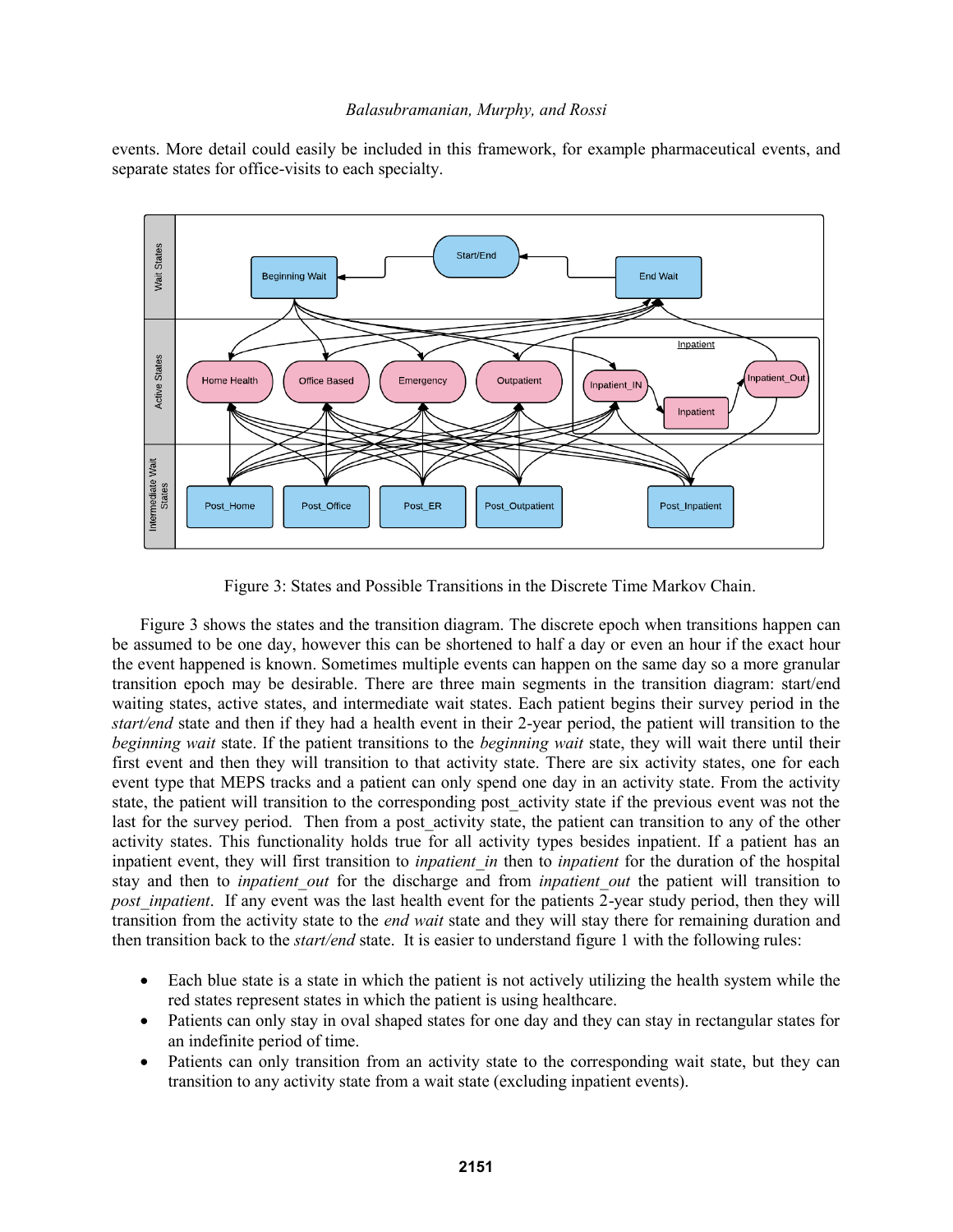events. More detail could easily be included in this framework, for example pharmaceutical events, and separate states for office-visits to each specialty.



Figure 3: States and Possible Transitions in the Discrete Time Markov Chain.

Figure 3 shows the states and the transition diagram. The discrete epoch when transitions happen can be assumed to be one day, however this can be shortened to half a day or even an hour if the exact hour the event happened is known. Sometimes multiple events can happen on the same day so a more granular transition epoch may be desirable. There are three main segments in the transition diagram: start/end waiting states, active states, and intermediate wait states. Each patient begins their survey period in the *start/end* state and then if they had a health event in their 2-year period, the patient will transition to the *beginning wait* state. If the patient transitions to the *beginning wait* state, they will wait there until their first event and then they will transition to that activity state. There are six activity states, one for each event type that MEPS tracks and a patient can only spend one day in an activity state. From the activity state, the patient will transition to the corresponding post\_activity state if the previous event was not the last for the survey period. Then from a post activity state, the patient can transition to any of the other activity states. This functionality holds true for all activity types besides inpatient. If a patient has an inpatient event, they will first transition to *inpatient* in then to *inpatient* for the duration of the hospital stay and then to *inpatient out* for the discharge and from *inpatient out* the patient will transition to *post\_inpatient.* If any event was the last health event for the patients 2-year study period, then they will transition from the activity state to the *end wait* state and they will stay there for remaining duration and then transition back to the *start/end* state. It is easier to understand figure 1 with the following rules:

- Each blue state is a state in which the patient is not actively utilizing the health system while the red states represent states in which the patient is using healthcare.
- Patients can only stay in oval shaped states for one day and they can stay in rectangular states for an indefinite period of time.
- Patients can only transition from an activity state to the corresponding wait state, but they can transition to any activity state from a wait state (excluding inpatient events).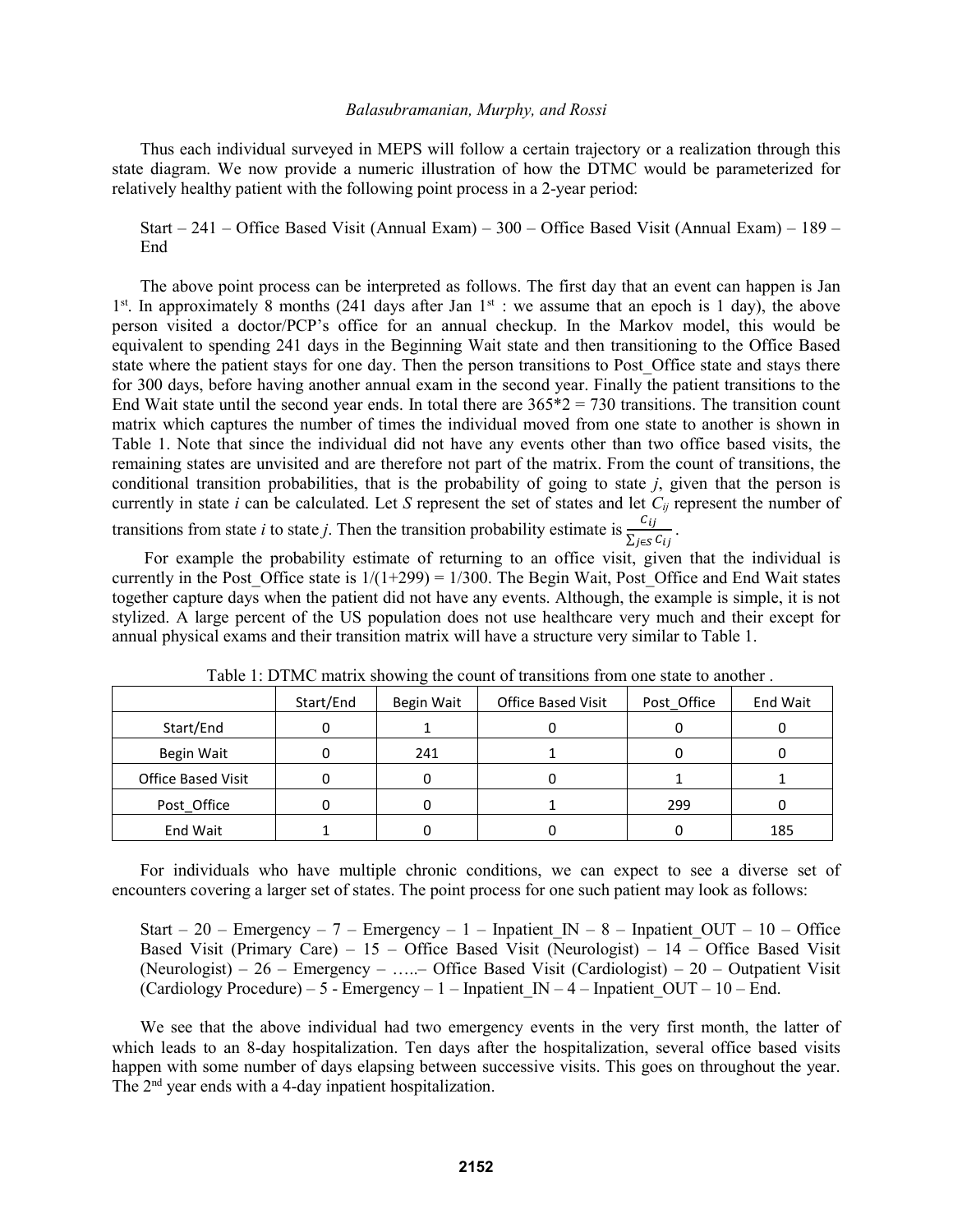Thus each individual surveyed in MEPS will follow a certain trajectory or a realization through this state diagram. We now provide a numeric illustration of how the DTMC would be parameterized for relatively healthy patient with the following point process in a 2-year period:

Start – 241 – Office Based Visit (Annual Exam) – 300 – Office Based Visit (Annual Exam) – 189 – End

The above point process can be interpreted as follows. The first day that an event can happen is Jan  $1<sup>st</sup>$ . In approximately 8 months (241 days after Jan  $1<sup>st</sup>$  : we assume that an epoch is 1 day), the above person visited a doctor/PCP's office for an annual checkup. In the Markov model, this would be equivalent to spending 241 days in the Beginning Wait state and then transitioning to the Office Based state where the patient stays for one day. Then the person transitions to Post Office state and stays there for 300 days, before having another annual exam in the second year. Finally the patient transitions to the End Wait state until the second year ends. In total there are  $365*2 = 730$  transitions. The transition count matrix which captures the number of times the individual moved from one state to another is shown in Table 1. Note that since the individual did not have any events other than two office based visits, the remaining states are unvisited and are therefore not part of the matrix. From the count of transitions, the conditional transition probabilities, that is the probability of going to state *j*, given that the person is currently in state *i* can be calculated. Let *S* represent the set of states and let *Cij* represent the number of transitions from state *i* to state *j*. Then the transition probability estimate is  $\frac{c_{ij}}{\sum_{j \in S} c_{ij}}$ .

For example the probability estimate of returning to an office visit, given that the individual is currently in the Post Office state is  $1/(1+299) = 1/300$ . The Begin Wait, Post Office and End Wait states together capture days when the patient did not have any events. Although, the example is simple, it is not stylized. A large percent of the US population does not use healthcare very much and their except for annual physical exams and their transition matrix will have a structure very similar to Table 1.

|                           | Start/End | Begin Wait | <b>Office Based Visit</b> | Post Office | End Wait |
|---------------------------|-----------|------------|---------------------------|-------------|----------|
| Start/End                 |           |            |                           |             |          |
| Begin Wait                |           | 241        |                           |             |          |
| <b>Office Based Visit</b> |           |            |                           |             |          |
| Post Office               |           |            |                           | 299         |          |
| End Wait                  |           |            |                           |             | 185      |

Table 1: DTMC matrix showing the count of transitions from one state to another .

For individuals who have multiple chronic conditions, we can expect to see a diverse set of encounters covering a larger set of states. The point process for one such patient may look as follows:

Start – 20 – Emergency – 7 – Emergency – 1 – Inpatient IN – 8 – Inpatient OUT – 10 – Office Based Visit (Primary Care) – 15 – Office Based Visit (Neurologist) – 14 – Office Based Visit (Neurologist) – 26 – Emergency – …..– Office Based Visit (Cardiologist) – 20 – Outpatient Visit (Cardiology Procedure) – 5 - Emergency – 1 – Inpatient IN – 4 – Inpatient OUT – 10 – End.

We see that the above individual had two emergency events in the very first month, the latter of which leads to an 8-day hospitalization. Ten days after the hospitalization, several office based visits happen with some number of days elapsing between successive visits. This goes on throughout the year. The  $2<sup>nd</sup>$  year ends with a 4-day inpatient hospitalization.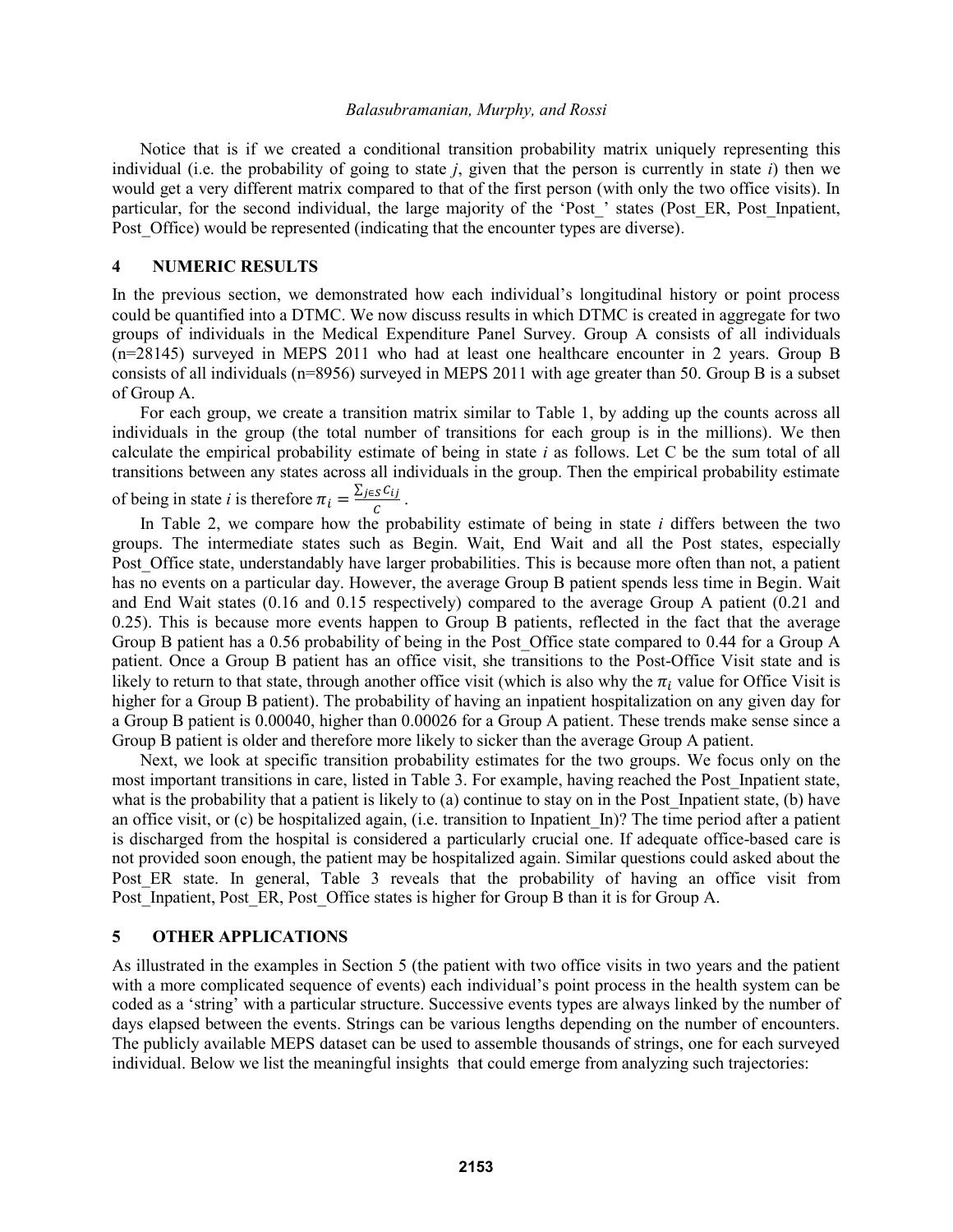Notice that is if we created a conditional transition probability matrix uniquely representing this individual (i.e. the probability of going to state *j*, given that the person is currently in state *i*) then we would get a very different matrix compared to that of the first person (with only the two office visits). In particular, for the second individual, the large majority of the 'Post\_' states (Post\_ER, Post\_Inpatient, Post Office) would be represented (indicating that the encounter types are diverse).

## **4 NUMERIC RESULTS**

In the previous section, we demonstrated how each individual's longitudinal history or point process could be quantified into a DTMC. We now discuss results in which DTMC is created in aggregate for two groups of individuals in the Medical Expenditure Panel Survey. Group A consists of all individuals (n=28145) surveyed in MEPS 2011 who had at least one healthcare encounter in 2 years. Group B consists of all individuals (n=8956) surveyed in MEPS 2011 with age greater than 50. Group B is a subset of Group A.

For each group, we create a transition matrix similar to Table 1, by adding up the counts across all individuals in the group (the total number of transitions for each group is in the millions). We then calculate the empirical probability estimate of being in state *i* as follows. Let C be the sum total of all transitions between any states across all individuals in the group. Then the empirical probability estimate of being in state *i* is therefore  $\pi_i = \frac{\sum_{j \in S} C_{ij}}{C}$  $\frac{S^{\mathcal{L}}U}{C}$ .

In Table 2, we compare how the probability estimate of being in state *i* differs between the two groups. The intermediate states such as Begin. Wait, End Wait and all the Post states, especially Post. Office state, understandably have larger probabilities. This is because more often than not, a patient has no events on a particular day. However, the average Group B patient spends less time in Begin. Wait and End Wait states (0.16 and 0.15 respectively) compared to the average Group A patient (0.21 and 0.25). This is because more events happen to Group B patients, reflected in the fact that the average Group B patient has a 0.56 probability of being in the Post\_Office state compared to 0.44 for a Group A patient. Once a Group B patient has an office visit, she transitions to the Post-Office Visit state and is likely to return to that state, through another office visit (which is also why the  $\pi_i$  value for Office Visit is higher for a Group B patient). The probability of having an inpatient hospitalization on any given day for a Group B patient is 0.00040, higher than 0.00026 for a Group A patient. These trends make sense since a Group B patient is older and therefore more likely to sicker than the average Group A patient.

Next, we look at specific transition probability estimates for the two groups. We focus only on the most important transitions in care, listed in Table 3. For example, having reached the Post\_Inpatient state, what is the probability that a patient is likely to (a) continue to stay on in the Post Inpatient state, (b) have an office visit, or (c) be hospitalized again, (i.e. transition to Inpatient\_In)? The time period after a patient is discharged from the hospital is considered a particularly crucial one. If adequate office-based care is not provided soon enough, the patient may be hospitalized again. Similar questions could asked about the Post ER state. In general, Table 3 reveals that the probability of having an office visit from Post Inpatient, Post ER, Post Office states is higher for Group B than it is for Group A.

### **5 OTHER APPLICATIONS**

As illustrated in the examples in Section 5 (the patient with two office visits in two years and the patient with a more complicated sequence of events) each individual's point process in the health system can be coded as a 'string' with a particular structure. Successive events types are always linked by the number of days elapsed between the events. Strings can be various lengths depending on the number of encounters. The publicly available MEPS dataset can be used to assemble thousands of strings, one for each surveyed individual. Below we list the meaningful insights that could emerge from analyzing such trajectories: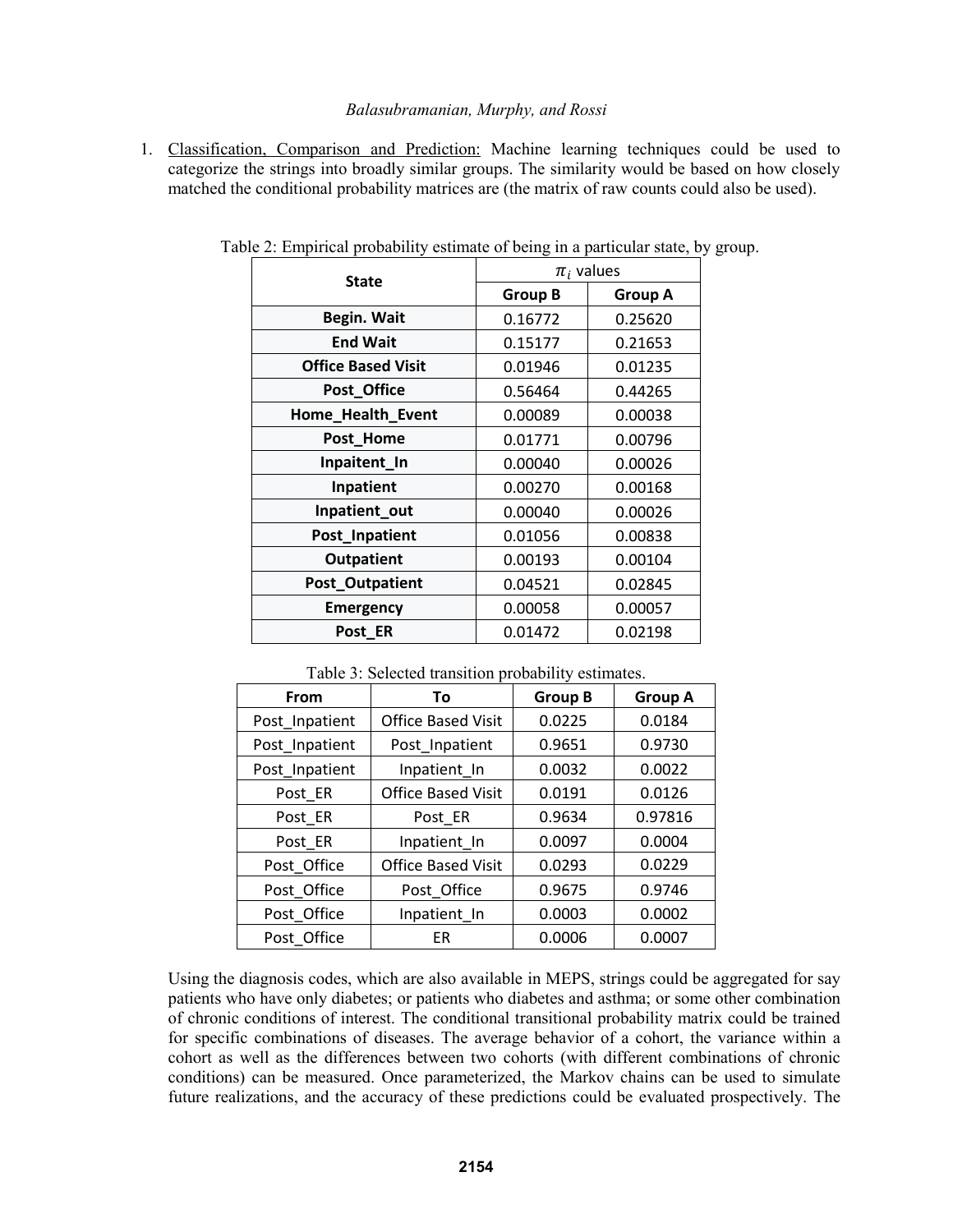1. Classification, Comparison and Prediction: Machine learning techniques could be used to categorize the strings into broadly similar groups. The similarity would be based on how closely matched the conditional probability matrices are (the matrix of raw counts could also be used).

| <b>State</b>              | $\pi_i$ values |                |  |
|---------------------------|----------------|----------------|--|
|                           | <b>Group B</b> | <b>Group A</b> |  |
| Begin. Wait               | 0.16772        | 0.25620        |  |
| <b>End Wait</b>           | 0.15177        | 0.21653        |  |
| <b>Office Based Visit</b> | 0.01946        | 0.01235        |  |
| Post_Office               | 0.56464        | 0.44265        |  |
| Home_Health_Event         | 0.00089        | 0.00038        |  |
| Post_Home                 | 0.01771        | 0.00796        |  |
| Inpaitent_In              | 0.00040        | 0.00026        |  |
| Inpatient                 | 0.00270        | 0.00168        |  |
| Inpatient_out             | 0.00040        | 0.00026        |  |
| Post_Inpatient            | 0.01056        | 0.00838        |  |
| <b>Outpatient</b>         | 0.00193        | 0.00104        |  |
| Post_Outpatient           | 0.04521        | 0.02845        |  |
| <b>Emergency</b>          | 0.00058        | 0.00057        |  |
| Post_ER                   | 0.01472        | 0.02198        |  |

Table 2: Empirical probability estimate of being in a particular state, by group.

Table 3: Selected transition probability estimates.

| From           | To                        | <b>Group B</b> | <b>Group A</b> |  |
|----------------|---------------------------|----------------|----------------|--|
| Post_Inpatient | <b>Office Based Visit</b> | 0.0225         | 0.0184         |  |
| Post_Inpatient | Post_Inpatient            | 0.9651         | 0.9730         |  |
| Post_Inpatient | Inpatient In              | 0.0032         | 0.0022         |  |
| Post ER        | <b>Office Based Visit</b> | 0.0191         | 0.0126         |  |
| Post ER        | Post ER                   | 0.9634         | 0.97816        |  |
| Post ER        | Inpatient In              | 0.0097         | 0.0004         |  |
| Post Office    | <b>Office Based Visit</b> | 0.0293         | 0.0229         |  |
| Post Office    | Post Office               | 0.9675         | 0.9746         |  |
| Post_Office    | Inpatient_In              | 0.0003         | 0.0002         |  |
| Post Office    | ER                        | 0.0006         | 0.0007         |  |

Using the diagnosis codes, which are also available in MEPS, strings could be aggregated for say patients who have only diabetes; or patients who diabetes and asthma; or some other combination of chronic conditions of interest. The conditional transitional probability matrix could be trained for specific combinations of diseases. The average behavior of a cohort, the variance within a cohort as well as the differences between two cohorts (with different combinations of chronic conditions) can be measured. Once parameterized, the Markov chains can be used to simulate future realizations, and the accuracy of these predictions could be evaluated prospectively. The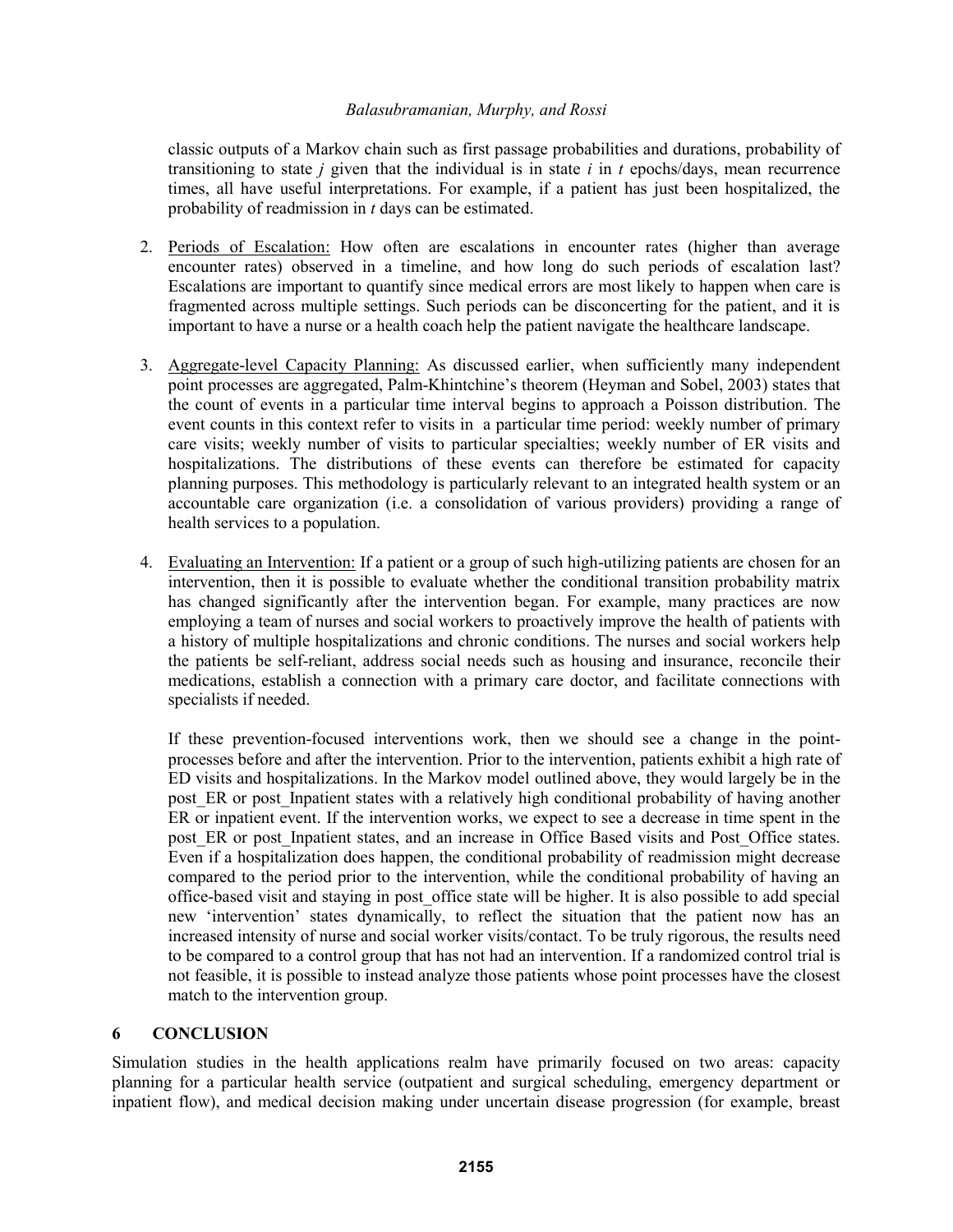classic outputs of a Markov chain such as first passage probabilities and durations, probability of transitioning to state *j* given that the individual is in state *i* in *t* epochs/days, mean recurrence times, all have useful interpretations. For example, if a patient has just been hospitalized, the probability of readmission in *t* days can be estimated.

- 2. Periods of Escalation: How often are escalations in encounter rates (higher than average encounter rates) observed in a timeline, and how long do such periods of escalation last? Escalations are important to quantify since medical errors are most likely to happen when care is fragmented across multiple settings. Such periods can be disconcerting for the patient, and it is important to have a nurse or a health coach help the patient navigate the healthcare landscape.
- 3. Aggregate-level Capacity Planning: As discussed earlier, when sufficiently many independent point processes are aggregated, Palm-Khintchine's theorem (Heyman and Sobel, 2003) states that the count of events in a particular time interval begins to approach a Poisson distribution. The event counts in this context refer to visits in a particular time period: weekly number of primary care visits; weekly number of visits to particular specialties; weekly number of ER visits and hospitalizations. The distributions of these events can therefore be estimated for capacity planning purposes. This methodology is particularly relevant to an integrated health system or an accountable care organization (i.e. a consolidation of various providers) providing a range of health services to a population.
- 4. Evaluating an Intervention: If a patient or a group of such high-utilizing patients are chosen for an intervention, then it is possible to evaluate whether the conditional transition probability matrix has changed significantly after the intervention began. For example, many practices are now employing a team of nurses and social workers to proactively improve the health of patients with a history of multiple hospitalizations and chronic conditions. The nurses and social workers help the patients be self-reliant, address social needs such as housing and insurance, reconcile their medications, establish a connection with a primary care doctor, and facilitate connections with specialists if needed.

If these prevention-focused interventions work, then we should see a change in the pointprocesses before and after the intervention. Prior to the intervention, patients exhibit a high rate of ED visits and hospitalizations. In the Markov model outlined above, they would largely be in the post ER or post Inpatient states with a relatively high conditional probability of having another ER or inpatient event. If the intervention works, we expect to see a decrease in time spent in the post ER or post Inpatient states, and an increase in Office Based visits and Post Office states. Even if a hospitalization does happen, the conditional probability of readmission might decrease compared to the period prior to the intervention, while the conditional probability of having an office-based visit and staying in post\_office state will be higher. It is also possible to add special new 'intervention' states dynamically, to reflect the situation that the patient now has an increased intensity of nurse and social worker visits/contact. To be truly rigorous, the results need to be compared to a control group that has not had an intervention. If a randomized control trial is not feasible, it is possible to instead analyze those patients whose point processes have the closest match to the intervention group.

# **6 CONCLUSION**

Simulation studies in the health applications realm have primarily focused on two areas: capacity planning for a particular health service (outpatient and surgical scheduling, emergency department or inpatient flow), and medical decision making under uncertain disease progression (for example, breast